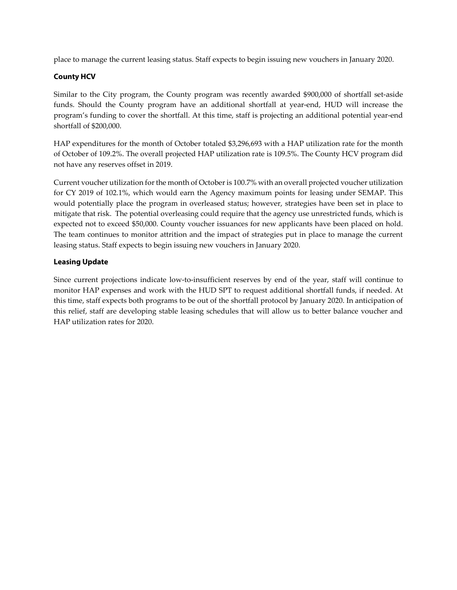place to manage the current leasing status. Staff expects to begin issuing new vouchers in January 2020.

## **County HCV**

Similar to the City program, the County program was recently awarded \$900,000 of shortfall set-aside funds. Should the County program have an additional shortfall at year-end, HUD will increase the program's funding to cover the shortfall. At this time, staff is projecting an additional potential year-end shortfall of \$200,000.

HAP expenditures for the month of October totaled \$3,296,693 with a HAP utilization rate for the month of October of 109.2%. The overall projected HAP utilization rate is 109.5%. The County HCV program did not have any reserves offset in 2019.

Current voucher utilization for the month of Octoberis 100.7% with an overall projected voucher utilization for CY 2019 of 102.1%, which would earn the Agency maximum points for leasing under SEMAP. This would potentially place the program in overleased status; however, strategies have been set in place to mitigate that risk. The potential overleasing could require that the agency use unrestricted funds, which is expected not to exceed \$50,000. County voucher issuances for new applicants have been placed on hold. The team continues to monitor attrition and the impact of strategies put in place to manage the current leasing status. Staff expects to begin issuing new vouchers in January 2020.

## **Leasing Update**

Since current projections indicate low-to-insufficient reserves by end of the year, staff will continue to monitor HAP expenses and work with the HUD SPT to request additional shortfall funds, if needed. At this time, staff expects both programs to be out of the shortfall protocol by January 2020. In anticipation of this relief, staff are developing stable leasing schedules that will allow us to better balance voucher and HAP utilization rates for 2020.